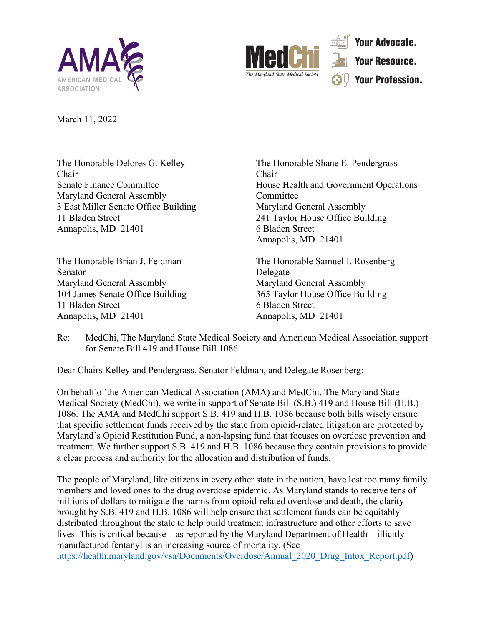



**Your Advocate. Your Resource. Your Profession.** 

March 11, 2022

Chair Chair Maryland General Assembly Committee 3 East Miller Senate Office Building Maryland General Assembly 11 Bladen Street 241 Taylor House Office Building Annapolis, MD 21401 6 Bladen Street

Senator Delegate Maryland General Assembly Maryland General Assembly 104 James Senate Office Building 365 Taylor House Office Building 11 Bladen Street 6 Bladen Street Annapolis, MD 21401 Annapolis, MD 21401

The Honorable Delores G. Kelley The Honorable Shane E. Pendergrass Senate Finance Committee **House Health** and Government Operations Annapolis, MD 21401

The Honorable Brian J. Feldman The Honorable Samuel I. Rosenberg

Re: MedChi, The Maryland State Medical Society and American Medical Association support for Senate Bill 419 and House Bill 1086

Dear Chairs Kelley and Pendergrass, Senator Feldman, and Delegate Rosenberg:

On behalf of the American Medical Association (AMA) and MedChi, The Maryland State Medical Society (MedChi), we write in support of Senate Bill (S.B.) 419 and House Bill (H.B.) 1086. The AMA and MedChi support S.B. 419 and H.B. 1086 because both bills wisely ensure that specific settlement funds received by the state from opioid-related litigation are protected by Maryland's Opioid Restitution Fund, a non-lapsing fund that focuses on overdose prevention and treatment. We further support S.B. 419 and H.B. 1086 because they contain provisions to provide a clear process and authority for the allocation and distribution of funds.

The people of Maryland, like citizens in every other state in the nation, have lost too many family members and loved ones to the drug overdose epidemic. As Maryland stands to receive tens of millions of dollars to mitigate the harms from opioid-related overdose and death, the clarity brought by S.B. 419 and H.B. 1086 will help ensure that settlement funds can be equitably distributed throughout the state to help build treatment infrastructure and other efforts to save lives. This is critical because—as reported by the Maryland Department of Health—illicitly manufactured fentanyl is an increasing source of mortality. (See [https://health.maryland.gov/vsa/Documents/Overdose/Annual\\_2020\\_Drug\\_Intox\\_Report.pdf\)](https://health.maryland.gov/vsa/Documents/Overdose/Annual_2020_Drug_Intox_Report.pdf)